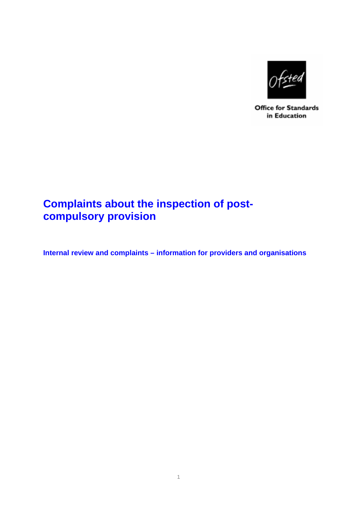

**Office for Standards** in Education

# **Complaints about the inspection of postcompulsory provision**

**Internal review and complaints – information for providers and organisations**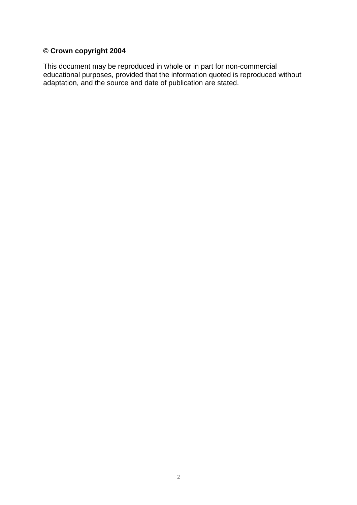# **© Crown copyright 2004**

This document may be reproduced in whole or in part for non-commercial educational purposes, provided that the information quoted is reproduced without adaptation, and the source and date of publication are stated.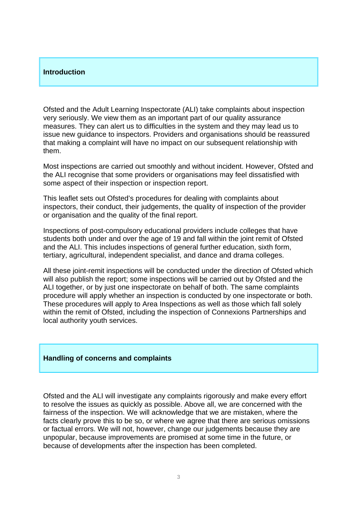#### **Introduction**

Ofsted and the Adult Learning Inspectorate (ALI) take complaints about inspection very seriously. We view them as an important part of our quality assurance measures. They can alert us to difficulties in the system and they may lead us to issue new guidance to inspectors. Providers and organisations should be reassured that making a complaint will have no impact on our subsequent relationship with them.

Most inspections are carried out smoothly and without incident. However, Ofsted and the ALI recognise that some providers or organisations may feel dissatisfied with some aspect of their inspection or inspection report.

This leaflet sets out Ofsted's procedures for dealing with complaints about inspectors, their conduct, their judgements, the quality of inspection of the provider or organisation and the quality of the final report.

Inspections of post-compulsory educational providers include colleges that have students both under and over the age of 19 and fall within the joint remit of Ofsted and the ALI. This includes inspections of general further education, sixth form, tertiary, agricultural, independent specialist, and dance and drama colleges.

All these joint-remit inspections will be conducted under the direction of Ofsted which will also publish the report; some inspections will be carried out by Ofsted and the ALI together, or by just one inspectorate on behalf of both. The same complaints procedure will apply whether an inspection is conducted by one inspectorate or both. These procedures will apply to Area Inspections as well as those which fall solely within the remit of Ofsted, including the inspection of Connexions Partnerships and local authority youth services.

## **Handling of concerns and complaints**

Ofsted and the ALI will investigate any complaints rigorously and make every effort to resolve the issues as quickly as possible. Above all, we are concerned with the fairness of the inspection. We will acknowledge that we are mistaken, where the facts clearly prove this to be so, or where we agree that there are serious omissions or factual errors. We will not, however, change our judgements because they are unpopular, because improvements are promised at some time in the future, or because of developments after the inspection has been completed.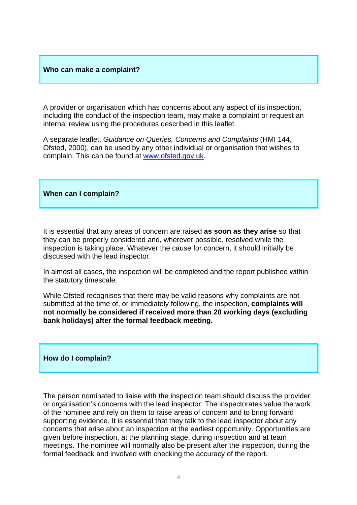#### **Who can make a complaint?**

A provider or organisation which has concerns about any aspect of its inspection, including the conduct of the inspection team, may make a complaint or request an internal review using the procedures described in this leaflet.

A separate leaflet, *Guidance on Queries, Concerns and Complaints* (HMI 144, Ofsted, 2000), can be used by any other individual or organisation that wishes to complain. This can be found at www.ofsted.gov.uk.

### **When can I complain?**

It is essential that any areas of concern are raised **as soon as they arise** so that they can be properly considered and, wherever possible, resolved while the inspection is taking place. Whatever the cause for concern, it should initially be discussed with the lead inspector.

In almost all cases, the inspection will be completed and the report published within the statutory timescale.

While Ofsted recognises that there may be valid reasons why complaints are not submitted at the time of, or immediately following, the inspection, **complaints will not normally be considered if received more than 20 working days (excluding bank holidays) after the formal feedback meeting.** 

#### **How do I complain?**

The person nominated to liaise with the inspection team should discuss the provider or organisation's concerns with the lead inspector. The inspectorates value the work of the nominee and rely on them to raise areas of concern and to bring forward supporting evidence. It is essential that they talk to the lead inspector about any concerns that arise about an inspection at the earliest opportunity. Opportunities are given before inspection, at the planning stage, during inspection and at team meetings. The nominee will normally also be present after the inspection, during the formal feedback and involved with checking the accuracy of the report.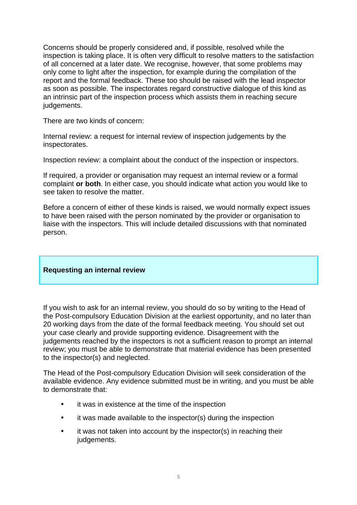Concerns should be properly considered and, if possible, resolved while the inspection is taking place. It is often very difficult to resolve matters to the satisfaction of all concerned at a later date. We recognise, however, that some problems may only come to light after the inspection, for example during the compilation of the report and the formal feedback. These too should be raised with the lead inspector as soon as possible. The inspectorates regard constructive dialogue of this kind as an intrinsic part of the inspection process which assists them in reaching secure judgements.

There are two kinds of concern:

Internal review: a request for internal review of inspection judgements by the inspectorates.

Inspection review: a complaint about the conduct of the inspection or inspectors.

If required, a provider or organisation may request an internal review or a formal complaint **or both**. In either case, you should indicate what action you would like to see taken to resolve the matter.

Before a concern of either of these kinds is raised, we would normally expect issues to have been raised with the person nominated by the provider or organisation to liaise with the inspectors. This will include detailed discussions with that nominated person.

## **Requesting an internal review**

If you wish to ask for an internal review, you should do so by writing to the Head of the Post-compulsory Education Division at the earliest opportunity, and no later than 20 working days from the date of the formal feedback meeting. You should set out your case clearly and provide supporting evidence. Disagreement with the judgements reached by the inspectors is not a sufficient reason to prompt an internal review; you must be able to demonstrate that material evidence has been presented to the inspector(s) and neglected.

The Head of the Post-compulsory Education Division will seek consideration of the available evidence. Any evidence submitted must be in writing, and you must be able to demonstrate that:

- it was in existence at the time of the inspection
- it was made available to the inspector(s) during the inspection
- it was not taken into account by the inspector(s) in reaching their judgements.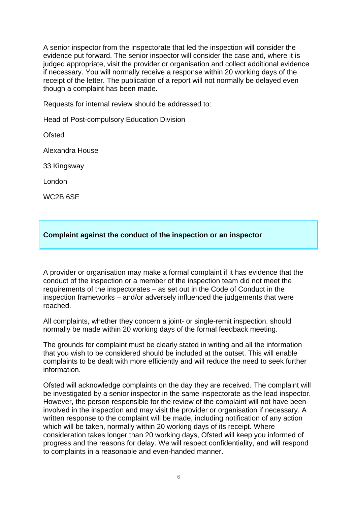A senior inspector from the inspectorate that led the inspection will consider the evidence put forward. The senior inspector will consider the case and, where it is judged appropriate, visit the provider or organisation and collect additional evidence if necessary. You will normally receive a response within 20 working days of the receipt of the letter. The publication of a report will not normally be delayed even though a complaint has been made.

Requests for internal review should be addressed to:

Head of Post-compulsory Education Division

Ofsted

Alexandra House

33 Kingsway

London

WC2B 6SE

## **Complaint against the conduct of the inspection or an inspector**

A provider or organisation may make a formal complaint if it has evidence that the conduct of the inspection or a member of the inspection team did not meet the requirements of the inspectorates – as set out in the Code of Conduct in the inspection frameworks – and/or adversely influenced the judgements that were reached.

All complaints, whether they concern a joint- or single-remit inspection, should normally be made within 20 working days of the formal feedback meeting.

The grounds for complaint must be clearly stated in writing and all the information that you wish to be considered should be included at the outset. This will enable complaints to be dealt with more efficiently and will reduce the need to seek further information.

Ofsted will acknowledge complaints on the day they are received. The complaint will be investigated by a senior inspector in the same inspectorate as the lead inspector. However, the person responsible for the review of the complaint will not have been involved in the inspection and may visit the provider or organisation if necessary. A written response to the complaint will be made, including notification of any action which will be taken, normally within 20 working days of its receipt. Where consideration takes longer than 20 working days, Ofsted will keep you informed of progress and the reasons for delay. We will respect confidentiality, and will respond to complaints in a reasonable and even-handed manner.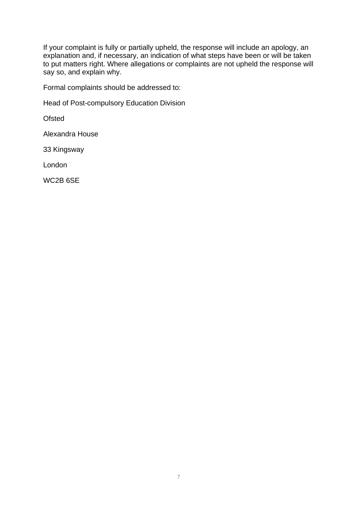If your complaint is fully or partially upheld, the response will include an apology, an explanation and, if necessary, an indication of what steps have been or will be taken to put matters right. Where allegations or complaints are not upheld the response will say so, and explain why.

Formal complaints should be addressed to:

Head of Post-compulsory Education Division

**Ofsted** 

Alexandra House

33 Kingsway

London

WC2B 6SE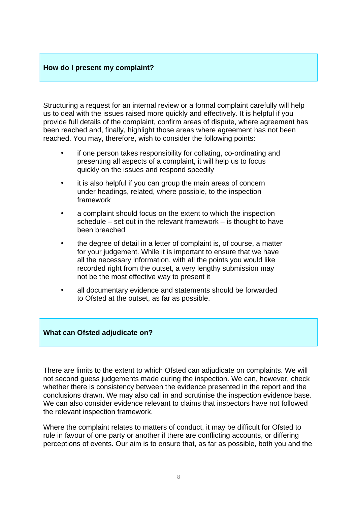## **How do I present my complaint?**

Structuring a request for an internal review or a formal complaint carefully will help us to deal with the issues raised more quickly and effectively. It is helpful if you provide full details of the complaint, confirm areas of dispute, where agreement has been reached and, finally, highlight those areas where agreement has not been reached. You may, therefore, wish to consider the following points:

- if one person takes responsibility for collating, co-ordinating and presenting all aspects of a complaint, it will help us to focus quickly on the issues and respond speedily
- it is also helpful if you can group the main areas of concern under headings, related, where possible, to the inspection framework
- a complaint should focus on the extent to which the inspection schedule – set out in the relevant framework – is thought to have been breached
- the degree of detail in a letter of complaint is, of course, a matter for your judgement. While it is important to ensure that we have all the necessary information, with all the points you would like recorded right from the outset, a very lengthy submission may not be the most effective way to present it
- all documentary evidence and statements should be forwarded to Ofsted at the outset, as far as possible.

## **What can Ofsted adjudicate on?**

There are limits to the extent to which Ofsted can adjudicate on complaints. We will not second guess judgements made during the inspection. We can, however, check whether there is consistency between the evidence presented in the report and the conclusions drawn. We may also call in and scrutinise the inspection evidence base. We can also consider evidence relevant to claims that inspectors have not followed the relevant inspection framework.

Where the complaint relates to matters of conduct, it may be difficult for Ofsted to rule in favour of one party or another if there are conflicting accounts, or differing perceptions of events**.** Our aim is to ensure that, as far as possible, both you and the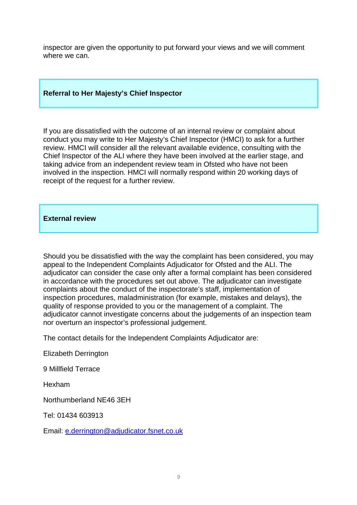inspector are given the opportunity to put forward your views and we will comment where we can.

## **Referral to Her Majesty's Chief Inspector**

If you are dissatisfied with the outcome of an internal review or complaint about conduct you may write to Her Majesty's Chief Inspector (HMCI) to ask for a further review. HMCI will consider all the relevant available evidence, consulting with the Chief Inspector of the ALI where they have been involved at the earlier stage, and taking advice from an independent review team in Ofsted who have not been involved in the inspection. HMCI will normally respond within 20 working days of receipt of the request for a further review.

#### **External review**

Should you be dissatisfied with the way the complaint has been considered, you may appeal to the Independent Complaints Adjudicator for Ofsted and the ALI. The adjudicator can consider the case only after a formal complaint has been considered in accordance with the procedures set out above. The adjudicator can investigate complaints about the conduct of the inspectorate's staff, implementation of inspection procedures, maladministration (for example, mistakes and delays), the quality of response provided to you or the management of a complaint. The adjudicator cannot investigate concerns about the judgements of an inspection team nor overturn an inspector's professional judgement.

The contact details for the Independent Complaints Adjudicator are:

Elizabeth Derrington

9 Millfield Terrace

Hexham

Northumberland NE46 3EH

Tel: 01434 603913

Email: e.derrington@adjudicator.fsnet.co.uk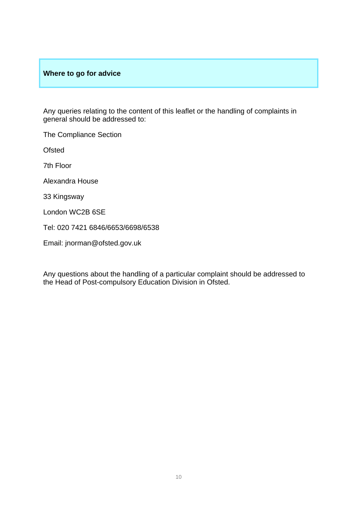## **Where to go for advice**

Any queries relating to the content of this leaflet or the handling of complaints in general should be addressed to:

The Compliance Section

**Ofsted** 

7th Floor

Alexandra House

33 Kingsway

London WC2B 6SE

Tel: 020 7421 6846/6653/6698/6538

Email: jnorman@ofsted.gov.uk

Any questions about the handling of a particular complaint should be addressed to the Head of Post-compulsory Education Division in Ofsted.